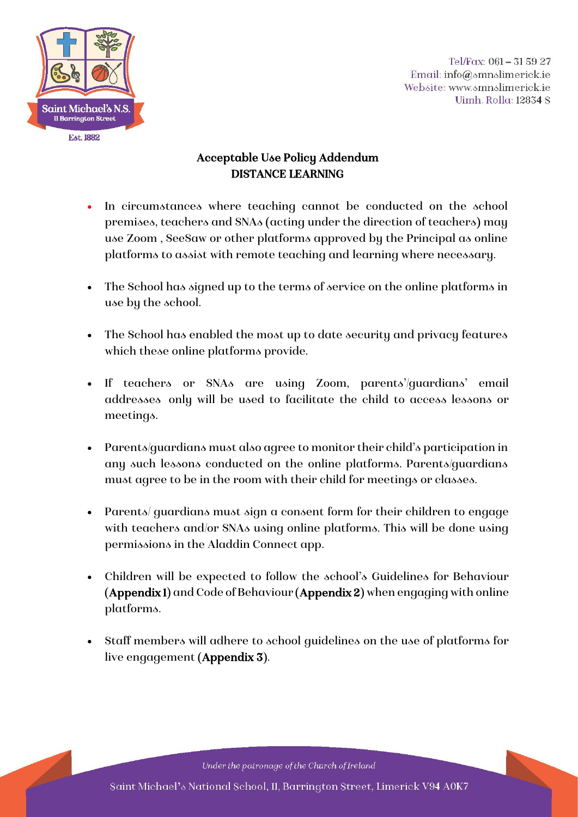

Tel/Fax: 061 - 31 59 27 Email: info@smnslimerick.ie Website: www.smnslimerick.ie Uimh. Rolla: 12834 S

## Acceptable Use Policy Addendum DISTANCE LEARNING

- In circumstances where teaching cannot be conducted on the school premises, teachers and SNAs (acting under the direction of teachers) may use Zoom , SeeSaw or other platforms approved by the Principal as online platforms to assist with remote teaching and learning where necessary.
- The School has signed up to the terms of service on the online platforms in use by the school.
- The School has enabled the most up to date security and privacy features which these online platforms provide.
- If teachers or SNAs are using Zoom, parents'/guardians' email addresses only will be used to facilitate the child to access lessons or meetings.
- Parents/guardians must also agree to monitor their child's participation in any such lessons conducted on the online platforms. Parents/guardians must agree to be in the room with their child for meetings or classes.
- Parents/ guardians must sign a consent form for their children to engage with teachers and/or SNAs using online platforms. This will be done using permissions in the Aladdin Connect app.
- Children will be expected to follow the school's Guidelines for Behaviour (Appendix 1) and Code of Behaviour (Appendix 2) when engaging with online platforms.
- Staff members will adhere to school guidelines on the use of platforms for live engagement (Appendix 3).

Under the patronage of the Church of Ireland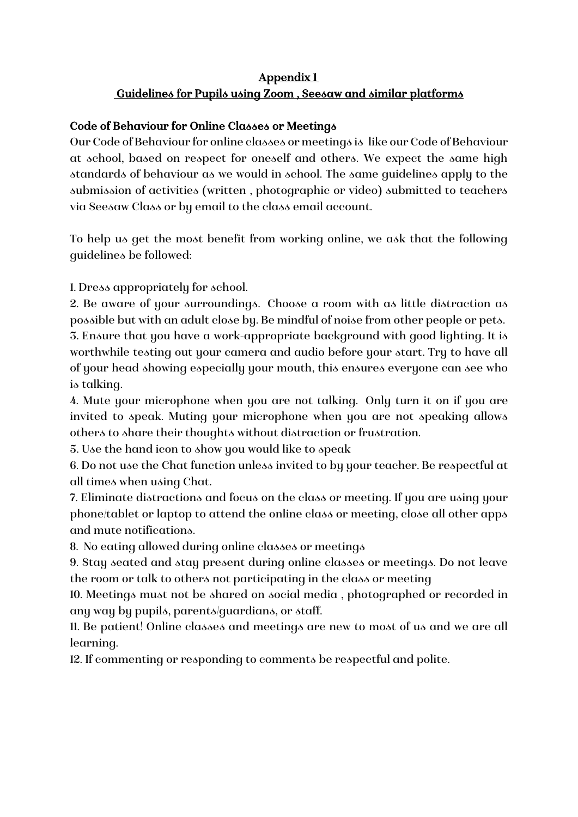## Appendix 1 Guidelines for Pupils using Zoom , Seesaw and similar platforms

#### Code of Behaviour for Online Classes or Meetings

Our Code of Behaviour for online classes or meetings is like our Code of Behaviour at school, based on respect for oneself and others. We expect the same high standards of behaviour as we would in school. The same guidelines apply to the submission of activities (written , photographic or video) submitted to teachers via Seesaw Class or by email to the class email account.

To help us get the most benefit from working online, we ask that the following guidelines be followed:

1. Dress appropriately for school.

2. Be aware of your surroundings. Choose a room with as little distraction as possible but with an adult close by. Be mindful of noise from other people or pets. 3. Ensure that you have a work-appropriate background with good lighting. It is worthwhile testing out your camera and audio before your start. Try to have all of your head showing especially your mouth, this ensures everyone can see who is talking.

4. Mute your microphone when you are not talking. Only turn it on if you are invited to speak. Muting your microphone when you are not speaking allows others to share their thoughts without distraction or frustration.

5. Use the hand icon to show you would like to speak

6. Do not use the Chat function unless invited to by your teacher. Be respectful at all times when using Chat.

7. Eliminate distractions and focus on the class or meeting. If you are using your phone/tablet or laptop to attend the online class or meeting, close all other apps and mute notifications.

8. No eating allowed during online classes or meetings

9. Stay seated and stay present during online classes or meetings. Do not leave the room or talk to others not participating in the class or meeting

10. Meetings must not be shared on social media , photographed or recorded in any way by pupils, parents/guardians, or staff.

11. Be patient! Online classes and meetings are new to most of us and we are all learning.

12. If commenting or responding to comments be respectful and polite.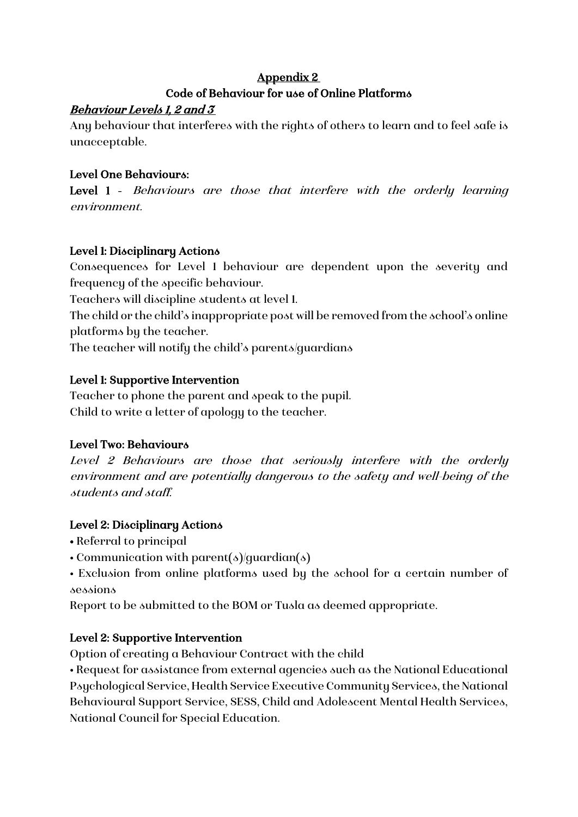## Appendix 2 Code of Behaviour for use of Online Platforms

## Behaviour Levels 1, 2 and 3

Any behaviour that interferes with the rights of others to learn and to feel safe is unacceptable.

## Level One Behaviours:

Level 1 - Behaviours are those that interfere with the orderly learning environment.

## Level 1: Disciplinary Actions

Consequences for Level 1 behaviour are dependent upon the severity and frequency of the specific behaviour.

Teachers will discipline students at level 1.

The child or the child's inappropriate post will be removed from the school's online platforms by the teacher.

The teacher will notify the child's parents/guardians

## Level 1: Supportive Intervention

Teacher to phone the parent and speak to the pupil. Child to write a letter of apology to the teacher.

## Level Two: Behaviours

Level 2 Behaviours are those that seriously interfere with the orderly environment and are potentially dangerous to the safety and well-being of the students and staff.

## Level 2: Disciplinary Actions

- Referral to principal
- Communication with parent(s)/quardian(s)

• Exclusion from online platforms used by the school for a certain number of sessions

Report to be submitted to the BOM or Tusla as deemed appropriate.

## Level 2: Supportive Intervention

Option of creating a Behaviour Contract with the child

• Request for assistance from external agencies such as the National Educational Psychological Service, Health Service Executive Community Services, the National Behavioural Support Service, SESS, Child and Adolescent Mental Health Services, National Council for Special Education.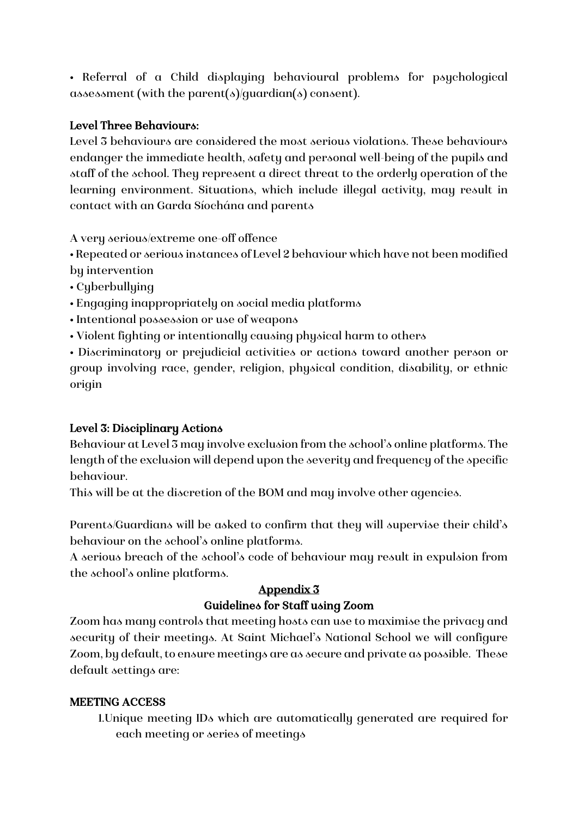• Referral of a Child displaying behavioural problems for psychological assessment (with the parent(s)/guardian(s) consent).

#### Level Three Behaviours:

Level 3 behaviours are considered the most serious violations. These behaviours endanger the immediate health, safety and personal well-being of the pupils and staff of the school. They represent a direct threat to the orderly operation of the learning environment. Situations, which include illegal activity, may result in contact with an Garda Síochána and parents

A very serious/extreme one-off offence

• Repeated or serious instances of Level 2 behaviour which have not been modified by intervention

• Cyberbullying

- Engaging inappropriately on social media platforms
- Intentional possession or use of weapons
- Violent fighting or intentionally causing physical harm to others

• Discriminatory or prejudicial activities or actions toward another person or group involving race, gender, religion, physical condition, disability, or ethnic origin

## Level 3: Disciplinary Actions

Behaviour at Level 3 may involve exclusion from the school's online platforms. The length of the exclusion will depend upon the severity and frequency of the specific behaviour.

This will be at the discretion of the BOM and may involve other agencies.

Parents/Guardians will be asked to confirm that they will supervise their child's behaviour on the school's online platforms.

A serious breach of the school's code of behaviour may result in expulsion from the school's online platforms.

# Appendix 3

#### Guidelines for Staff using Zoom

Zoom has many controls that meeting hosts can use to maximise the privacy and security of their meetings. At Saint Michael's National School we will configure Zoom, by default, to ensure meetings are as secure and private as possible. These default settings are:

#### MEETING ACCESS

1.Unique meeting IDs which are automatically generated are required for each meeting or series of meetings